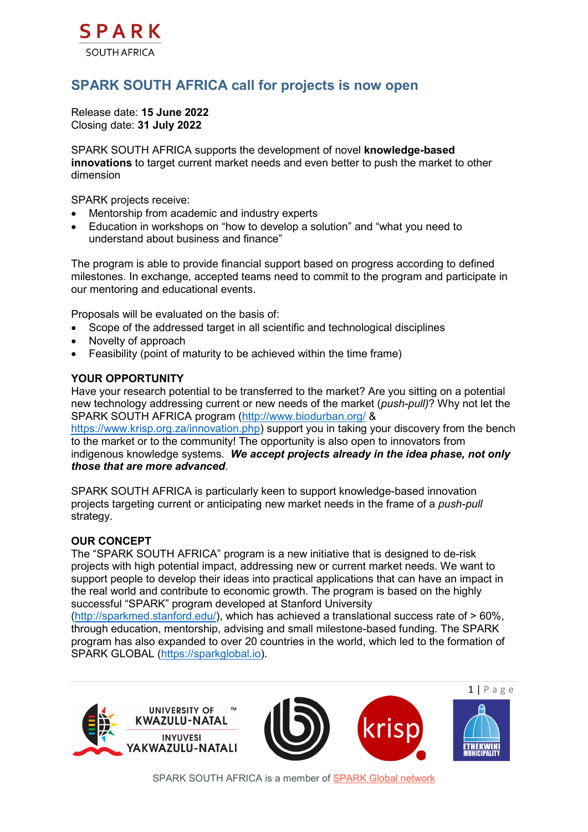

# **SPARK SOUTH AFRICA call for projects is now open**

Release date: **15 June 2022** Closing date: **31 July 2022**

SPARK SOUTH AFRICA supports the development of novel **knowledge-based innovations** to target current market needs and even better to push the market to other dimension

SPARK projects receive:

- Mentorship from academic and industry experts
- Education in workshops on "how to develop a solution" and "what you need to understand about business and finance"

The program is able to provide financial support based on progress according to defined milestones. In exchange, accepted teams need to commit to the program and participate in our mentoring and educational events.

Proposals will be evaluated on the basis of:

- Scope of the addressed target in all scientific and technological disciplines
- Novelty of approach
- Feasibility (point of maturity to be achieved within the time frame)

#### **YOUR OPPORTUNITY**

Have your research potential to be transferred to the market? Are you sitting on a potential new technology addressing current or new needs of the market (*push-pull)*? Why not let the SPARK SOUTH AFRICA program [\(http://www.biodurban.org/](http://www.biodurban.org/) &

[https://www.krisp.org.za/innovation.php\)](https://www.krisp.org.za/innovation.php) support you in taking your discovery from the bench to the market or to the community! The opportunity is also open to innovators from indigenous knowledge systems*. We accept projects already in the idea phase, not only those that are more advanced*.

SPARK SOUTH AFRICA is particularly keen to support knowledge-based innovation projects targeting current or anticipating new market needs in the frame of a *push-pull*  strategy.

#### **OUR CONCEPT**

The "SPARK SOUTH AFRICA" program is a new initiative that is designed to de-risk projects with high potential impact, addressing new or current market needs. We want to support people to develop their ideas into practical applications that can have an impact in the real world and contribute to economic growth. The program is based on the highly successful "SPARK" program developed at Stanford University

[\(http://sparkmed.stanford.edu/\)](http://sparkmed.stanford.edu/), which has achieved a translational success rate of > 60%, through education, mentorship, advising and small milestone-based funding. The SPARK program has also expanded to over 20 countries in the world, which led to the formation of SPARK GLOBAL [\(https://sparkglobal.io\)](https://sparkglobal.io/).



SPARK SOUTH AFRICA is a member of [SPARK Global network](https://sparkglobal.io/)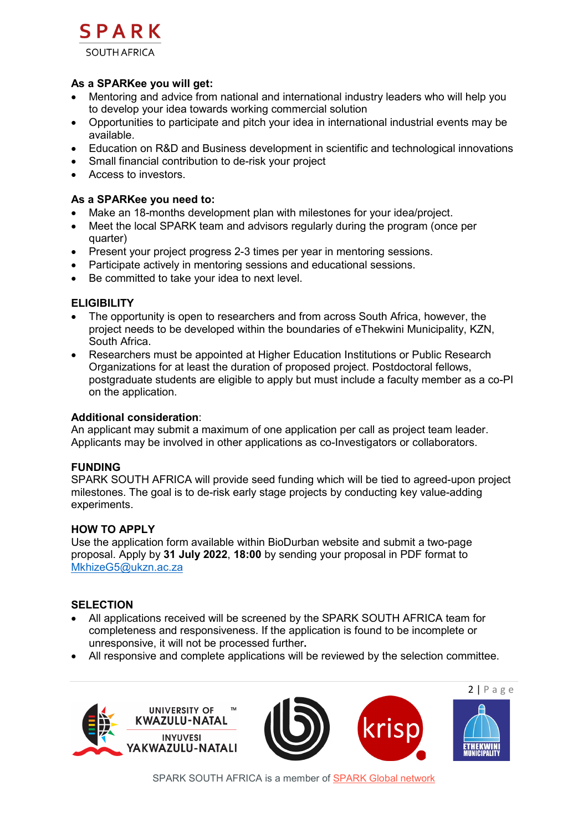

### **As a SPARKee you will get:**

- Mentoring and advice from national and international industry leaders who will help you to develop your idea towards working commercial solution
- Opportunities to participate and pitch your idea in international industrial events may be available.
- Education on R&D and Business development in scientific and technological innovations
- Small financial contribution to de-risk your project
- Access to investors.

## **As a SPARKee you need to:**

- Make an 18-months development plan with milestones for your idea/project.
- Meet the local SPARK team and advisors regularly during the program (once per quarter)
- Present your project progress 2-3 times per year in mentoring sessions.
- Participate actively in mentoring sessions and educational sessions.
- Be committed to take your idea to next level.

## **ELIGIBILITY**

- The opportunity is open to researchers and from across South Africa, however, the project needs to be developed within the boundaries of eThekwini Municipality, KZN, South Africa.
- Researchers must be appointed at Higher Education Institutions or Public Research Organizations for at least the duration of proposed project. Postdoctoral fellows, postgraduate students are eligible to apply but must include a faculty member as a co-PI on the application.

#### **Additional consideration**:

An applicant may submit a maximum of one application per call as project team leader. Applicants may be involved in other applications as co-Investigators or collaborators.

#### **FUNDING**

SPARK SOUTH AFRICA will provide seed funding which will be tied to agreed-upon project milestones. The goal is to de-risk early stage projects by conducting key value-adding experiments.

#### **HOW TO APPLY**

Use the application form available within BioDurban website and submit a two-page proposal. Apply by **31 July 2022**, **18:00** by sending your proposal in PDF format to [MkhizeG5@ukzn.ac.za](mailto:MkhizeG5@ukzn.ac.za) 

### **SELECTION**

- All applications received will be screened by the SPARK SOUTH AFRICA team for completeness and responsiveness. If the application is found to be incomplete or unresponsive, it will not be processed further**.**
- All responsive and complete applications will be reviewed by the selection committee.







SPARK SOUTH AFRICA is a member of [SPARK Global network](https://sparkglobal.io/)